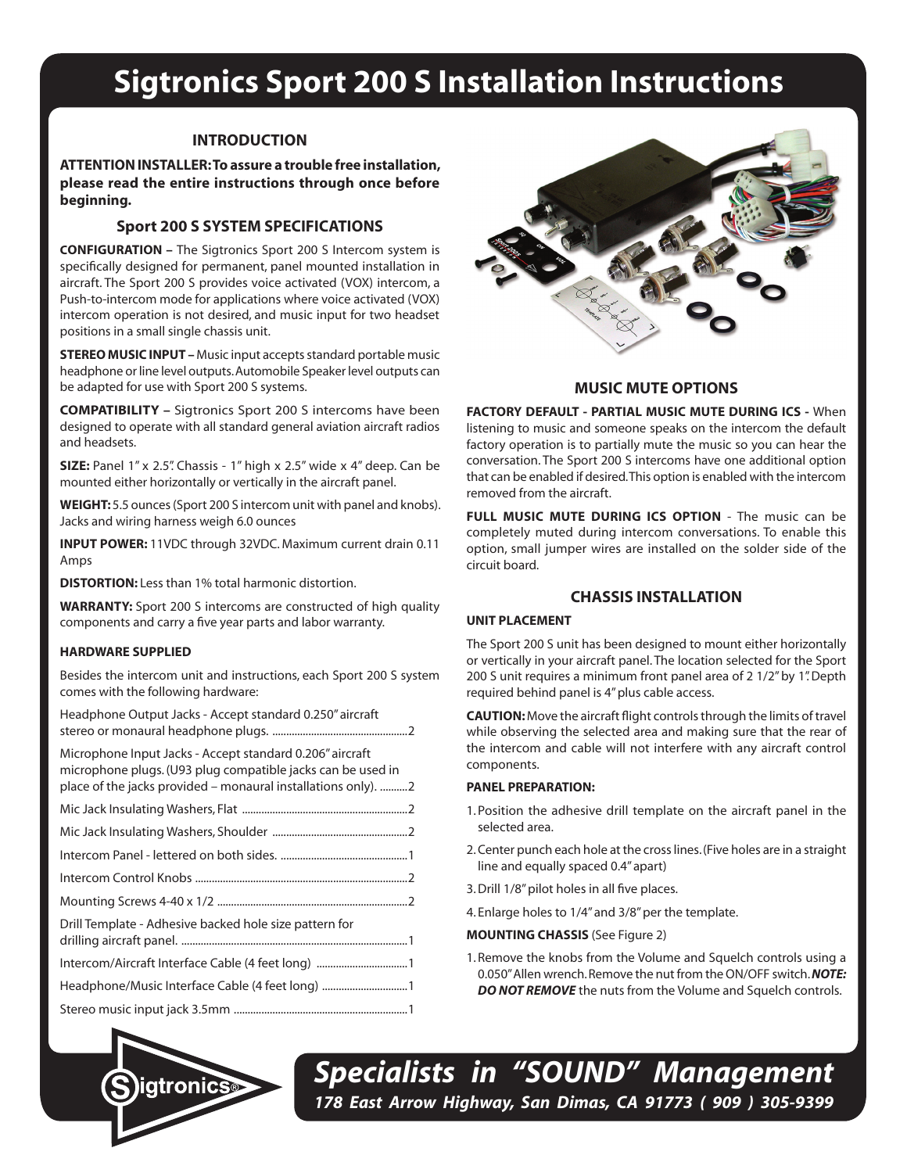# **Sigtronics Sport 200 S Installation Instructions**

# **INTRODUCTION**

**ATTENTION INSTALLER: To assure a trouble free installation, please read the entire instructions through once before beginning.**

# **Sport 200 S SYSTEM SPECIFICATIONS**

**CONFIGURATION –** The Sigtronics Sport 200 S Intercom system is specifically designed for permanent, panel mounted installation in aircraft. The Sport 200 S provides voice activated (VOX) intercom, a Push-to-intercom mode for applications where voice activated (VOX) intercom operation is not desired, and music input for two headset positions in a small single chassis unit.

**STEREO MUSIC INPUT –** Music input accepts standard portable music headphone or line level outputs. Automobile Speaker level outputs can be adapted for use with Sport 200 S systems.

**COMPATIBILITY –** Sigtronics Sport 200 S intercoms have been designed to operate with all standard general aviation aircraft radios and headsets.

**SIZE:** Panel 1" x 2.5". Chassis - 1" high x 2.5" wide x 4" deep. Can be mounted either horizontally or vertically in the aircraft panel.

**WEIGHT:** 5.5 ounces (Sport 200 S intercom unit with panel and knobs). Jacks and wiring harness weigh 6.0 ounces

**INPUT POWER:** 11VDC through 32VDC. Maximum current drain 0.11 Amps

**DISTORTION:** Less than 1% total harmonic distortion.

**WARRANTY:** Sport 200 S intercoms are constructed of high quality components and carry a five year parts and labor warranty.

#### **HARDWARE SUPPLIED**

Besides the intercom unit and instructions, each Sport 200 S system comes with the following hardware:

Headphone Output Jacks - Accept standard 0.250" aircraft stereo or monaural headphone plugs. .................................................2

| Microphone Input Jacks - Accept standard 0.206" aircraft<br>microphone plugs. (U93 plug compatible jacks can be used in<br>place of the jacks provided – monaural installations only). 2 |  |
|------------------------------------------------------------------------------------------------------------------------------------------------------------------------------------------|--|
|                                                                                                                                                                                          |  |
|                                                                                                                                                                                          |  |
|                                                                                                                                                                                          |  |
|                                                                                                                                                                                          |  |
|                                                                                                                                                                                          |  |
| Drill Template - Adhesive backed hole size pattern for                                                                                                                                   |  |
|                                                                                                                                                                                          |  |
| Headphone/Music Interface Cable (4 feet long)                                                                                                                                            |  |
|                                                                                                                                                                                          |  |



## **MUSIC MUTE OPTIONS**

**FACTORY DEFAULT - PARTIAL MUSIC MUTE DURING ICS -** When listening to music and someone speaks on the intercom the default factory operation is to partially mute the music so you can hear the conversation. The Sport 200 S intercoms have one additional option that can be enabled if desired. This option is enabled with the intercom removed from the aircraft.

**FULL MUSIC MUTE DURING ICS OPTION - The music can be** completely muted during intercom conversations. To enable this option, small jumper wires are installed on the solder side of the circuit board.

## **CHASSIS INSTALLATION**

#### **UNIT PLACEMENT**

The Sport 200 S unit has been designed to mount either horizontally or vertically in your aircraft panel. The location selected for the Sport 200 S unit requires a minimum front panel area of 2 1/2" by 1". Depth required behind panel is 4" plus cable access.

**CAUTION:** Move the aircraft flight controls through the limits of travel while observing the selected area and making sure that the rear of the intercom and cable will not interfere with any aircraft control components.

#### **PANEL PREPARATION:**

- 1. Position the adhesive drill template on the aircraft panel in the selected area.
- 2. Center punch each hole at the cross lines. (Five holes are in a straight line and equally spaced 0.4" apart)
- 3. Drill 1/8" pilot holes in all five places.
- 4. Enlarge holes to 1/4" and 3/8" per the template.

**MOUNTING CHASSIS** (See Figure 2)

1. Remove the knobs from the Volume and Squelch controls using a 0.050" Allen wrench. Remove the nut from the ON/OFF switch. *NOTE:*  **DO NOT REMOVE** the nuts from the Volume and Squelch controls.



*Specialists in "SOUND" Management 178 East Arrow Highway, San Dimas, CA 91773 ( 909 ) 305-9399*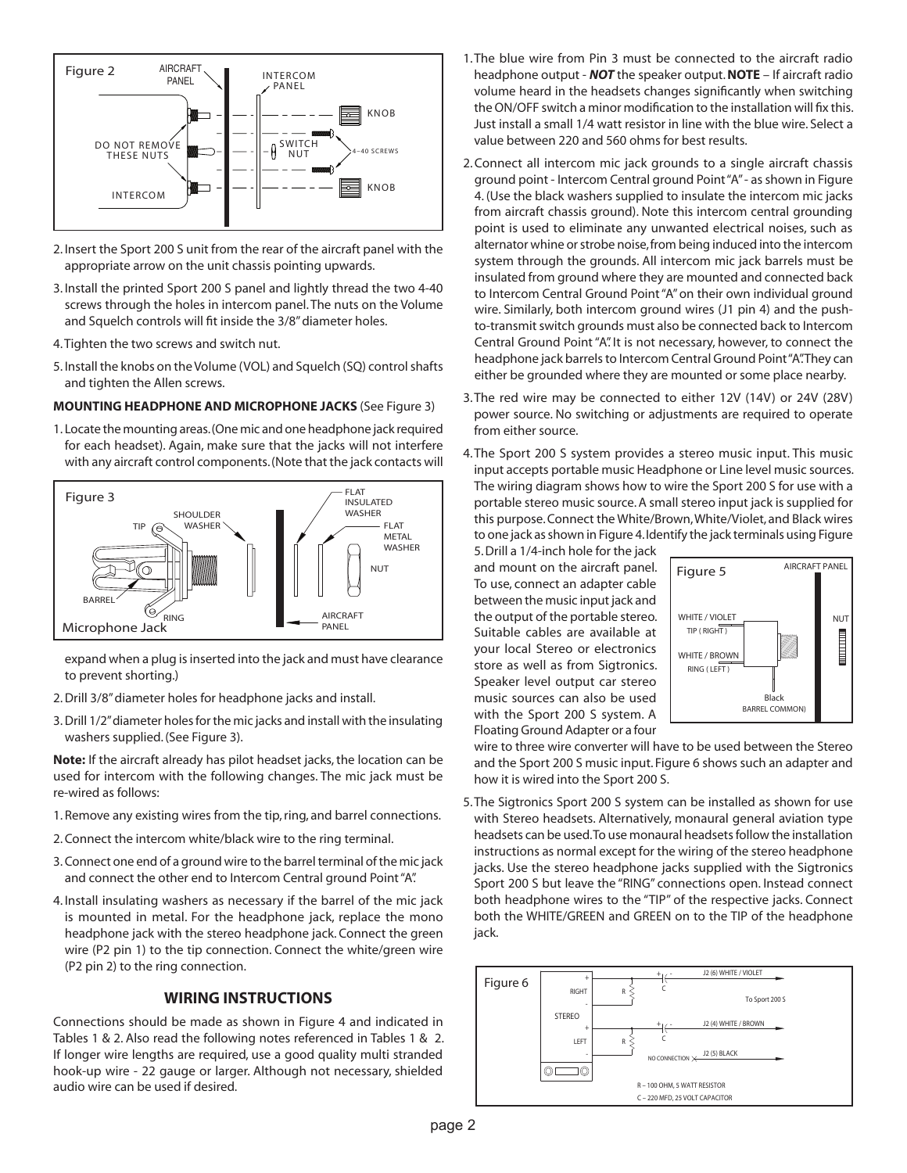

- 2. Insert the Sport 200 S unit from the rear of the aircraft panel with the appropriate arrow on the unit chassis pointing upwards.
- 3. Install the printed Sport 200 S panel and lightly thread the two 4-40 screws through the holes in intercom panel. The nuts on the Volume and Squelch controls will fit inside the 3/8" diameter holes.
- 4. Tighten the two screws and switch nut.
- 5. Install the knobs on the Volume (VOL) and Squelch (SQ) control shafts and tighten the Allen screws.

#### **MOUNTING HEADPHONE AND MICROPHONE JACKS** (See Figure 3)

1. Locate the mounting areas. (One mic and one headphone jack required for each headset). Again, make sure that the jacks will not interfere with any aircraft control components. (Note that the jack contacts will



expand when a plug is inserted into the jack and must have clearance to prevent shorting.)

- 2. Drill 3/8" diameter holes for headphone jacks and install.
- 3. Drill 1/2" diameter holes for the mic jacks and install with the insulating washers supplied. (See Figure 3).

**Note:** If the aircraft already has pilot headset jacks, the location can be used for intercom with the following changes. The mic jack must be re-wired as follows:

- 1. Remove any existing wires from the tip, ring, and barrel connections.
- 2. Connect the intercom white/black wire to the ring terminal.
- 3. Connect one end of a ground wire to the barrel terminal of the mic jack and connect the other end to Intercom Central ground Point "A".
- 4. Install insulating washers as necessary if the barrel of the mic jack is mounted in metal. For the headphone jack, replace the mono headphone jack with the stereo headphone jack. Connect the green wire (P2 pin 1) to the tip connection. Connect the white/green wire (P2 pin 2) to the ring connection.

## **WIRING INSTRUCTIONS**

Connections should be made as shown in Figure 4 and indicated in Tables 1 & 2. Also read the following notes referenced in Tables 1 & 2. If longer wire lengths are required, use a good quality multi stranded hook-up wire - 22 gauge or larger. Although not necessary, shielded audio wire can be used if desired.

- 1. The blue wire from Pin 3 must be connected to the aircraft radio headphone output - *NOT* the speaker output. **NOTE** – If aircraft radio volume heard in the headsets changes significantly when switching the ON/OFF switch a minor modification to the installation will fix this. Just install a small 1/4 watt resistor in line with the blue wire. Select a value between 220 and 560 ohms for best results.
- 2. Connect all intercom mic jack grounds to a single aircraft chassis ground point - Intercom Central ground Point "A" - as shown in Figure 4. (Use the black washers supplied to insulate the intercom mic jacks from aircraft chassis ground). Note this intercom central grounding point is used to eliminate any unwanted electrical noises, such as alternator whine or strobe noise, from being induced into the intercom system through the grounds. All intercom mic jack barrels must be insulated from ground where they are mounted and connected back to Intercom Central Ground Point "A" on their own individual ground wire. Similarly, both intercom ground wires (J1 pin 4) and the pushto-transmit switch grounds must also be connected back to Intercom Central Ground Point "A". It is not necessary, however, to connect the headphone jack barrels to Intercom Central Ground Point "A". They can either be grounded where they are mounted or some place nearby.
- 3. The red wire may be connected to either 12V (14V) or 24V (28V) power source. No switching or adjustments are required to operate from either source.
- 4. The Sport 200 S system provides a stereo music input. This music input accepts portable music Headphone or Line level music sources. The wiring diagram shows how to wire the Sport 200 S for use with a portable stereo music source. A small stereo input jack is supplied for this purpose. Connect the White/Brown, White/Violet, and Black wires to one jack as shown in Figure 4. Identify the jack terminals using Figure

5. Drill a 1/4-inch hole for the jack and mount on the aircraft panel. To use, connect an adapter cable between the music input jack and the output of the portable stereo. Suitable cables are available at your local Stereo or electronics store as well as from Sigtronics. Speaker level output car stereo music sources can also be used with the Sport 200 S system. A Floating Ground Adapter or a four



wire to three wire converter will have to be used between the Stereo and the Sport 200 S music input. Figure 6 shows such an adapter and how it is wired into the Sport 200 S.

5. The Sigtronics Sport 200 S system can be installed as shown for use with Stereo headsets. Alternatively, monaural general aviation type headsets can be used. To use monaural headsets follow the installation instructions as normal except for the wiring of the stereo headphone jacks. Use the stereo headphone jacks supplied with the Sigtronics Sport 200 S but leave the "RING" connections open. Instead connect both headphone wires to the "TIP" of the respective jacks. Connect both the WHITE/GREEN and GREEN on to the TIP of the headphone jack.

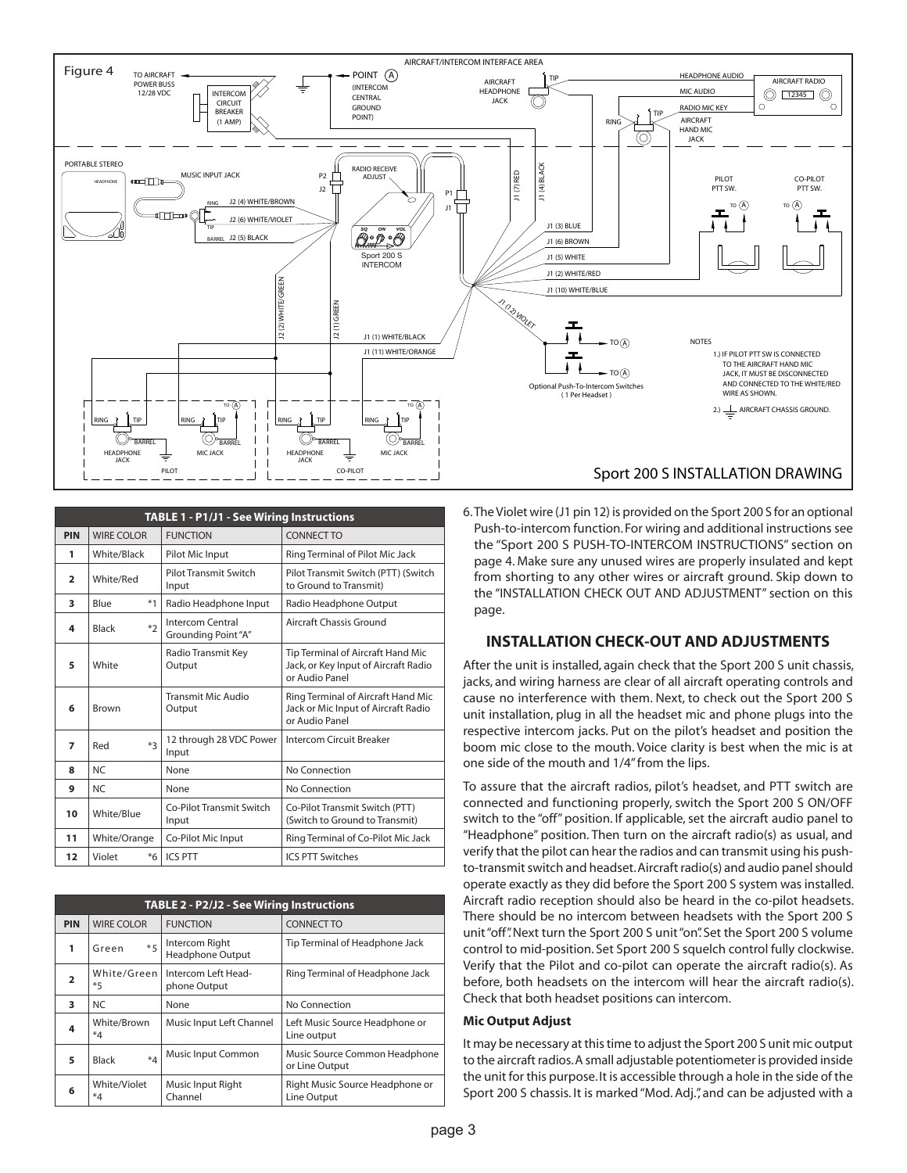

| TABLE 1 - P1/J1 - See Wiring Instructions |                   |                                        |                                                                                             |  |  |
|-------------------------------------------|-------------------|----------------------------------------|---------------------------------------------------------------------------------------------|--|--|
| <b>PIN</b>                                | <b>WIRE COLOR</b> | <b>FUNCTION</b>                        | <b>CONNECT TO</b>                                                                           |  |  |
| 1                                         | White/Black       | Pilot Mic Input                        | Ring Terminal of Pilot Mic Jack                                                             |  |  |
| $\overline{2}$                            | White/Red         | <b>Pilot Transmit Switch</b><br>Input  | Pilot Transmit Switch (PTT) (Switch<br>to Ground to Transmit)                               |  |  |
| 3                                         | $*1$<br>Blue      | Radio Headphone Input                  | Radio Headphone Output                                                                      |  |  |
| 4                                         | $*2$<br>Black     | Intercom Central<br>Grounding Point"A" | Aircraft Chassis Ground                                                                     |  |  |
| 5                                         | White             | Radio Transmit Key<br>Output           | Tip Terminal of Aircraft Hand Mic<br>Jack, or Key Input of Aircraft Radio<br>or Audio Panel |  |  |
| 6                                         | Brown             | <b>Transmit Mic Audio</b><br>Output    | Ring Terminal of Aircraft Hand Mic<br>Jack or Mic Input of Aircraft Radio<br>or Audio Panel |  |  |
| $\overline{ }$                            | $*$ 3<br>Red      | 12 through 28 VDC Power<br>Input       | <b>Intercom Circuit Breaker</b>                                                             |  |  |
| 8                                         | NC.               | None                                   | No Connection                                                                               |  |  |
| 9                                         | NC.               | None                                   | No Connection                                                                               |  |  |
| 10                                        | White/Blue        | Co-Pilot Transmit Switch<br>Input      | Co-Pilot Transmit Switch (PTT)<br>(Switch to Ground to Transmit)                            |  |  |
| 11                                        | White/Orange      | Co-Pilot Mic Input                     | Ring Terminal of Co-Pilot Mic Jack                                                          |  |  |
| 12                                        | Violet<br>$*6$    | <b>ICS PTT</b>                         | <b>ICS PTT Switches</b>                                                                     |  |  |

| TABLE 2 - P2/J2 - See Wiring Instructions |                         |                                                   |                                                 |  |
|-------------------------------------------|-------------------------|---------------------------------------------------|-------------------------------------------------|--|
| <b>PIN</b>                                | <b>WIRE COLOR</b>       | <b>FUNCTION</b>                                   | <b>CONNECT TO</b>                               |  |
| 1                                         | $*5$<br>Green           | Intercom Right<br><b>Headphone Output</b>         | Tip Terminal of Headphone Jack                  |  |
| $\overline{2}$                            | $*5$                    | White/Green   Intercom Left Head-<br>phone Output | Ring Terminal of Headphone Jack                 |  |
| 3                                         | NC.                     | None                                              | No Connection                                   |  |
| 4                                         | White/Brown<br>$*_{4}$  | Music Input Left Channel                          | Left Music Source Headphone or<br>Line output   |  |
| 5                                         | $*_4$<br>Black          | Music Input Common                                | Music Source Common Headphone<br>or Line Output |  |
| 6                                         | White/Violet<br>$*_{4}$ | Music Input Right<br>Channel                      | Right Music Source Headphone or<br>Line Output  |  |

6. The Violet wire (J1 pin 12) is provided on the Sport 200 S for an optional Push-to-intercom function. For wiring and additional instructions see the "Sport 200 S PUSH-TO-INTERCOM INSTRUCTIONS" section on page 4. Make sure any unused wires are properly insulated and kept from shorting to any other wires or aircraft ground. Skip down to the "INSTALLATION CHECK OUT AND ADJUSTMENT" section on this page.

## **INSTALLATION CHECK-OUT AND ADJUSTMENTS**

After the unit is installed, again check that the Sport 200 S unit chassis, jacks, and wiring harness are clear of all aircraft operating controls and cause no interference with them. Next, to check out the Sport 200 S unit installation, plug in all the headset mic and phone plugs into the respective intercom jacks. Put on the pilot's headset and position the boom mic close to the mouth. Voice clarity is best when the mic is at one side of the mouth and 1/4" from the lips.

To assure that the aircraft radios, pilot's headset, and PTT switch are connected and functioning properly, switch the Sport 200 S ON/OFF switch to the "off" position. If applicable, set the aircraft audio panel to "Headphone" position. Then turn on the aircraft radio(s) as usual, and verify that the pilot can hear the radios and can transmit using his pushto-transmit switch and headset. Aircraft radio(s) and audio panel should operate exactly as they did before the Sport 200 S system was installed. Aircraft radio reception should also be heard in the co-pilot headsets. There should be no intercom between headsets with the Sport 200 S unit "off". Next turn the Sport 200 S unit "on". Set the Sport 200 S volume control to mid-position. Set Sport 200 S squelch control fully clockwise. Verify that the Pilot and co-pilot can operate the aircraft radio(s). As before, both headsets on the intercom will hear the aircraft radio(s). Check that both headset positions can intercom.

#### **Mic Output Adjust**

It may be necessary at this time to adjust the Sport 200 S unit mic output to the aircraft radios. A small adjustable potentiometer is provided inside the unit for this purpose. It is accessible through a hole in the side of the Sport 200 S chassis. It is marked "Mod. Adj.", and can be adjusted with a